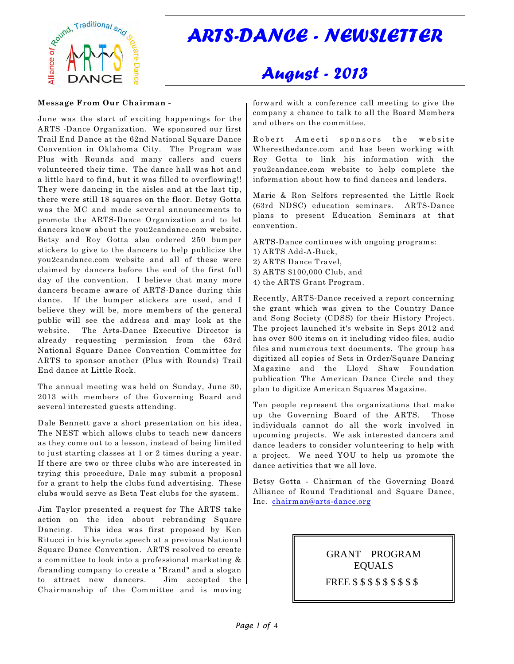

# *ARTS-DANCE - NEWSLETTER*

## *August - 2013*

#### **Message From Our Chairman -**

 . June was the start of exciting happenings for the ARTS -Dance Organization. We sponsored our first Trail End Dance at the 62nd National Square Dance Convention in Oklahoma City. The Program was Plus with Rounds and many callers and cuers volunteered their time. The dance hall was hot and a little hard to find, but it was filled to overflowing!! They were dancing in the aisles and at the last tip, there were still 18 squares on the floor. Betsy Gotta was the MC and made several announcements to promote the ARTS-Dance Organization and to let dancers know about the you2candance.com website. Betsy and Roy Gotta also ordered 250 bumper stickers to give to the dancers to help publicize the you2candance.com website and all of these were claimed by dancers before the end of the first full day of the convention. I believe that many more dancers became aware of ARTS-Dance during this dance. If the bumper stickers are used, and I believe they will be, more members of the general public will see the address and may look at the website. The Arts-Dance Executive Director is already requesting permission from the 63rd National Square Dance Convention Committee for ARTS to sponsor another (Plus with Rounds) Trail End dance at Little Rock.

The annual meeting was held on Sunday, June 30, 2013 with members of the Governing Board and several interested guests attending.

Dale Bennett gave a short presentation on his idea, The NEST which allows clubs to teach new dancers as they come out to a lesson, instead of being limited to just starting classes at 1 or 2 times during a year. If there are two or three clubs who are interested in trying this procedure, Dale may submit a proposal for a grant to help the clubs fund advertising. These clubs would serve as Beta Test clubs for the system.

Jim Taylor presented a request for The ARTS take action on the idea about rebranding Square Dancing. This idea was first proposed by Ken Ritucci in his keynote speech at a previous National Square Dance Convention. ARTS resolved to create a committee to look into a professional marketing & /branding company to create a "Brand" and a slogan to attract new dancers. Jim accepted the Chairmanship of the Committee and is moving

forward with a conference call meeting to give the company a chance to talk to all the Board Members and others on the committee.

Robert Ameeti sponsors the website Wheresthedance.com and has been working with Roy Gotta to link his information with the you2candance.com website to help complete the information about how to find dances and leaders.

Marie & Ron Selfors represented the Little Rock (63rd NDSC) education seminars. ARTS-Dance plans to present Education Seminars at that convention.

ARTS-Dance continues with ongoing programs:

- 1) ARTS Add-A-Buck,
- 2) ARTS Dance Travel,
- 3) ARTS \$100,000 Club, and
- 4) the ARTS Grant Program.

Recently, ARTS-Dance received a report concerning the grant which was given to the Country Dance and Song Society (CDSS) for their History Project. The project launched it's website in Sept 2012 and has over 800 items on it including video files, audio files and numerous text documents. The group has digitized all copies of Sets in Order/Square Dancing Magazine and the Lloyd Shaw Foundation publication The American Dance Circle and they plan to digitize American Squares Magazine.

Ten people represent the organizations that make up the Governing Board of the ARTS. Those individuals cannot do all the work involved in upcoming projects. We ask interested dancers and dance leaders to consider volunteering to help with a project. We need YOU to help us promote the dance activities that we all love.

Betsy Gotta - Chairman of the Governing Board Alliance of Round Traditional and Square Dance, Inc. [chairman@arts-dance.org](mailto:chairman@arts-dance.org)

> GRANT PROGRAM EQUALS FREE \$ \$ \$ \$ \$ \$ \$ \$ \$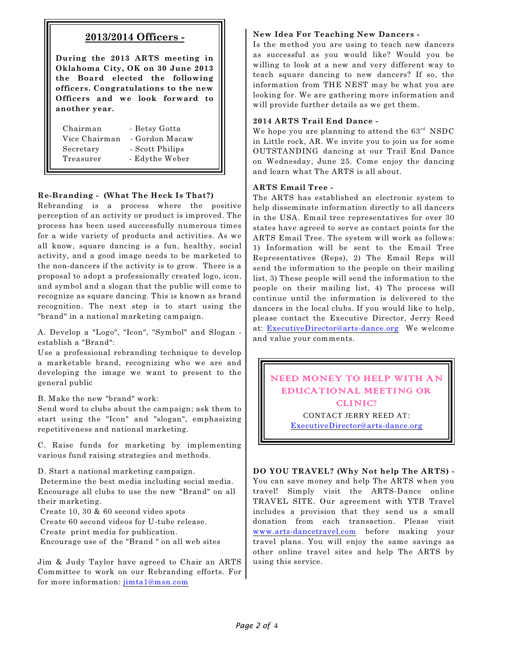## **2013/2014 Officers -**

**During the 2013 ARTS meeting in Oklahoma City, OK on 30 June 2013 the Board elected the following officers. Congratulations to the new Officers and we look forward to another year.**

| Chairman      | - Betsy Gotta   |
|---------------|-----------------|
| Vice Chairman | - Gordon Macaw  |
| Secretary     | - Scott Philips |
| Treasurer     | - Edythe Weber  |
|               |                 |

## **Re-Branding - (What The Heck Is That?)**

Rebranding is a process where the positive perception of an activity or product is improved. The process has been used successfully numerous times for a wide variety of products and activities. As we all know, square dancing is a fun, healthy, social activity, and a good image needs to be marketed to the non-dancers if the activity is to grow. There is a proposal to adopt a professionally created logo, icon, and symbol and a slogan that the public will come to recognize as square dancing. This is known as brand recognition. The next step is to start using the "brand" in a national marketing campaign.

A. Develop a "Logo", "Icon", "Symbol" and Slogan establish a "Brand":

Use a professional rebranding technique to develop a marketable brand, recognizing who we are and developing the image we want to present to the general public

B. Make the new "brand" work:

Send word to clubs about the campaign; ask them to start using the "Icon" and "slogan", emphasizing repetitiveness and national marketing.

C. Raise funds for marketing by implementing various fund raising strategies and methods.

D. Start a national marketing campaign.

 Determine the best media including social media. Encourage all clubs to use the new "Brand" on all their marketing.

Create 10, 30 & 60 second video spots

Create 60 second videos for U-tube release.

Create print media for publication.

Encourage use of the "Brand " on all web sites

Jim & Judy Taylor have agreed to Chair an ARTS Committee to work on our Rebranding efforts. For for more information: [jimta1@msn.com](mailto:jimta1@msn.com)

#### **New Idea For Teaching New Dancers -**

Is the method you are using to teach new dancers as successful as you would like? Would you be willing to look at a new and very different way to teach square dancing to new dancers? If so, the information from THE NEST may be what you are looking for. We are gathering more information and will provide further details as we get them.

## **2014 ARTS Trail End Dance -**

We hope you are planning to attend the  $63^{\text{rd}}$  NSDC in Little rock, AR. We invite you to join us for some OUTSTANDING dancing at our Trail End Dance on Wednesday, June 25. Come enjoy the dancing and learn what The ARTS is all about.

#### **ARTS Email Tree -**

The ARTS has established an electronic system to help disseminate information directly to all dancers in the USA. Email tree representatives for over 30 states have agreed to serve as contact points for the ARTS Email Tree. The system will work as follows: 1) Information will be sent to the Email Tree Representatives (Reps), 2) The Email Reps will send the information to the people on their mailing list, 3) These people will send the information to the people on their mailing list, 4) The process will continue until the information is delivered to the dancers in the local clubs. If you would like to help, please contact the Executive Director, Jerry Reed at: [ExecutiveDirector@arts-dance.org](mailto:ExecutiveDirector@arts-dance.org) We welcome and value your comments.

NEED MONEY TO HELP WITH AN EDUCATIONAL MEETING OR CLINIC?

> CONTACT JERRY REED AT: [ExecutiveDirector@arts-dance.org](mailto:ExecutiveDirector@arts-dance.org)

**DO YOU TRAVEL? (Why Not help The ARTS) -** You can save money and help The ARTS when you travel! Simply visit the ARTS-Dance online TRAVEL SITE. Our agreement with YTB Travel includes a provision that they send us a small donation from each transaction. Please visit [www.arts-dancetravel.com](http://www.arts-dancetravel.com) before making your travel plans. You will enjoy the same savings as other online travel sites and help The ARTS by using this service.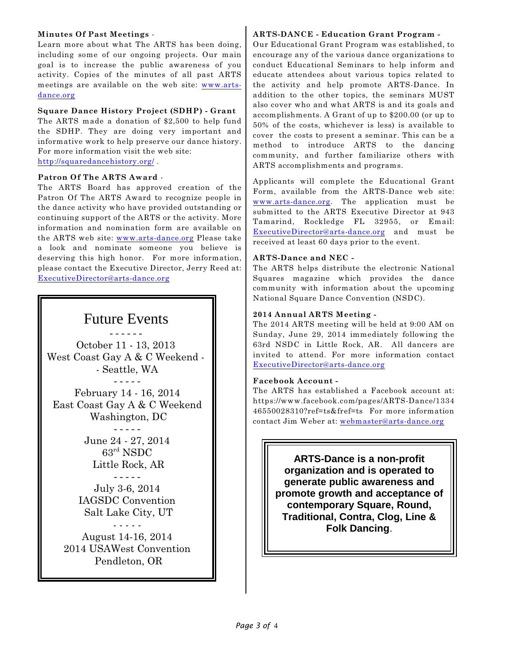## **Minutes Of Past Meetings** -

Learn more about what The ARTS has been doing, including some of our ongoing projects. Our main goal is to increase the public awareness of you activity. Copies of the minutes of all past ARTS meetings are available on the web site: [www.arts](http://www.arts-dance.org)[dance.org](http://www.arts-dance.org)

## **Square Dance History Project (SDHP) - Grant**

The ARTS made a donation of \$2,500 to help fund the SDHP. They are doing very important and informative work to help preserve our dance history. For more information visit the web site: <http://squaredancehistory.org/> .

**Patron Of The ARTS Award** -

The ARTS Board has approved creation of the Patron Of The ARTS Award to recognize people in the dance activity who have provided outstanding or continuing support of the ARTS or the activity. More information and nomination form are available on the ARTS web site: [www.arts-dance.org](http://www.arts-dance.org) Please take a look and nominate someone you believe is deserving this high honor. For more information, please contact the Executive Director, Jerry Reed at: [ExecutiveDirector@arts-dance.org](mailto:ExecutiveDirector@arts-dance.org)



## **ARTS-DANCE - Education Grant Program -**

Our Educational Grant Program was established, to encourage any of the various dance organizations to conduct Educational Seminars to help inform and educate attendees about various topics related to the activity and help promote ARTS-Dance. In addition to the other topics, the seminars MUST also cover who and what ARTS is and its goals and accomplishments. A Grant of up to \$200.00 (or up to 50% of the costs, whichever is less) is available to cover the costs to present a seminar. This can be a method to introduce ARTS to the dancing community, and further familiarize others with ARTS accomplishments and programs.

Applicants will complete the Educational Grant Form, available from the ARTS-Dance web site: [www.arts-dance.org](http://www.arts-dance.org). The application must be submitted to the ARTS Executive Director at 943 Tamarind, Rockledge FL 32955, or Email: [ExecutiveDirector@arts-dance.org](mailto:ExecutiveDirector@arts-dance.org) and must be received at least 60 days prior to the event.

## **ARTS-Dance and NEC -**

The ARTS helps distribute the electronic National Squares magazine which provides the dance community with information about the upcoming National Square Dance Convention (NSDC).

## **2014 Annual ARTS Meeting -**

The 2014 ARTS meeting will be held at 9:00 AM on Sunday, June 29, 2014 immediately following the 63rd NSDC in Little Rock, AR. All dancers are invited to attend. For more information contact [ExecutiveDirector@arts-dance.org](mailto:ExecutiveDirector@arts-dance.org)

## **Facebook Account -**

The ARTS has established a Facebook account at: https://www.facebook.com/pages/ARTS-Dance/1334 46550028310?ref=ts&fref=ts For more information contact Jim Weber at: [webmaster@arts-dance.org](mailto:webmaster@arts-dance.org)

> **ARTS-Dance is a non-profit organization and is operated to generate public awareness and promote growth and acceptance of contemporary Square, Round, Traditional, Contra, Clog, Line & Folk Dancing**.